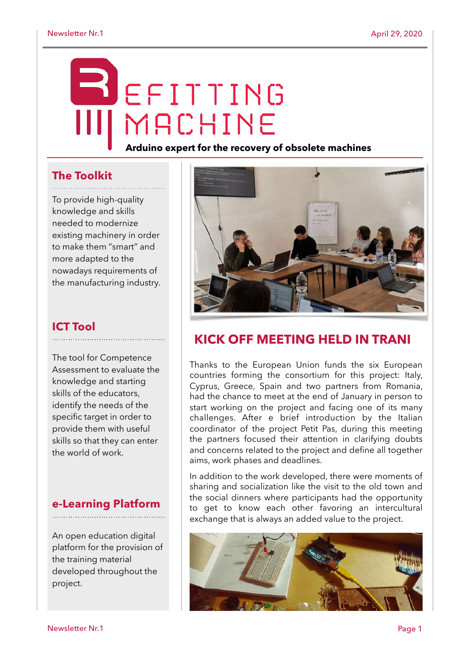# EFITTING MACHINE

#### **Arduino expert for the recovery of obsolete machines**

#### **The Toolkit**

To provide high-quality knowledge and skills needed to modernize existing machinery in order to make them "smart" and more adapted to the nowadays requirements of the manufacturing industry.

### **ICT Tool**

The tool for Competence Assessment to evaluate the knowledge and starting skills of the educators, identify the needs of the specific target in order to provide them with useful skills so that they can enter the world of work.

#### **e-Learning Platform**

An open education digital platform for the provision of the training material developed throughout the project.



# **KICK OFF MEETING HELD IN TRANI**

Thanks to the European Union funds the six European countries forming the consortium for this project: Italy, Cyprus, Greece, Spain and two partners from Romania, had the chance to meet at the end of January in person to start working on the project and facing one of its many challenges. After e brief introduction by the Italian coordinator of the project Petit Pas, during this meeting the partners focused their attention in clarifying doubts and concerns related to the project and define all together aims, work phases and deadlines.

In addition to the work developed, there were moments of sharing and socialization like the visit to the old town and the social dinners where participants had the opportunity to get to know each other favoring an intercultural exchange that is always an added value to the project.